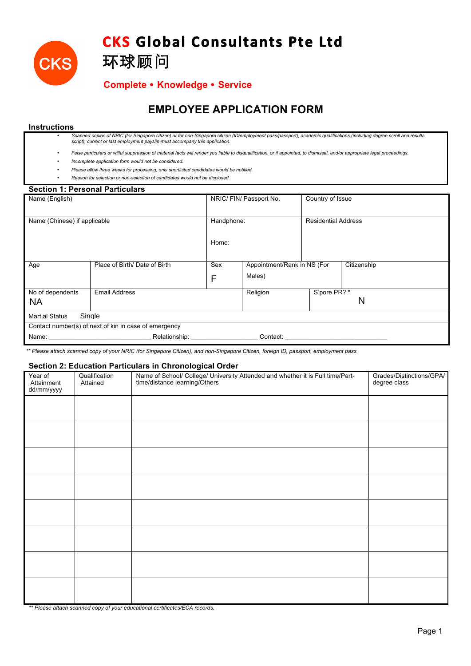

# **CKS Global Consultants Pte Ltd**

## **Complete** ! **Knowledge** ! **Service**

## **EMPLOYEE APPLICATION FORM**

### **Instructions**

• *Scanned copies of NRIC (for Singapore citizen) or for non-Singapore citizen (ID/employment pass/passport), academic qualifications (including degree scroll and results script), current or last employment payslip must accompany this application.* 

- *False particulars or wilful suppression of material facts will render you liable to disqualification, or if appointed, to dismissal, and/or appropriate legal proceedings.*
- *Incomplete application form would not be considered.*
- *Please allow three weeks for processing, only shortlisted candidates would be notified.*
- *Reason for selection or non-selection of candidates would not be disclosed.*

环球顾问

| <b>Section 1: Personal Particulars</b>                |                               |                         |          |                                            |   |  |
|-------------------------------------------------------|-------------------------------|-------------------------|----------|--------------------------------------------|---|--|
| Name (English)                                        |                               | NRIC/ FIN/ Passport No. |          | Country of Issue                           |   |  |
|                                                       |                               |                         |          |                                            |   |  |
| Name (Chinese) if applicable                          |                               | Handphone:              |          | <b>Residential Address</b>                 |   |  |
|                                                       |                               |                         |          |                                            |   |  |
|                                                       |                               | Home:                   |          |                                            |   |  |
|                                                       |                               |                         |          |                                            |   |  |
| Age                                                   | Place of Birth/ Date of Birth | Sex                     |          | Appointment/Rank in NS (For<br>Citizenship |   |  |
|                                                       |                               | F                       | Males)   |                                            |   |  |
| No of dependents                                      | <b>Email Address</b>          |                         | Religion | S'pore PR? *                               |   |  |
| <b>NA</b>                                             |                               |                         |          |                                            | N |  |
| Single<br><b>Martial Status</b>                       |                               |                         |          |                                            |   |  |
| Contact number(s) of next of kin in case of emergency |                               |                         |          |                                            |   |  |
| Name:                                                 | Relationship:                 |                         | Contact: |                                            |   |  |

*\*\* Please attach scanned copy of your NRIC (for Singapore Citizen), and non-Singapore Citizen, foreign ID, passport, employment pass*

#### **Section 2: Education Particulars in Chronological Order**

| Year of<br>Attainment<br>dd/mm/yyyy | Qualification<br>Attained | Name of School/ College/ University Attended and whether it is Full time/Part-<br>time/distance learning/Others | Grades/Distinctions/GPA/<br>degree class |
|-------------------------------------|---------------------------|-----------------------------------------------------------------------------------------------------------------|------------------------------------------|
|                                     |                           |                                                                                                                 |                                          |
|                                     |                           |                                                                                                                 |                                          |
|                                     |                           |                                                                                                                 |                                          |
|                                     |                           |                                                                                                                 |                                          |
|                                     |                           |                                                                                                                 |                                          |
|                                     |                           |                                                                                                                 |                                          |
|                                     |                           |                                                                                                                 |                                          |
|                                     |                           |                                                                                                                 |                                          |

*\*\* Please attach scanned copy of your educational certificates/ECA records.*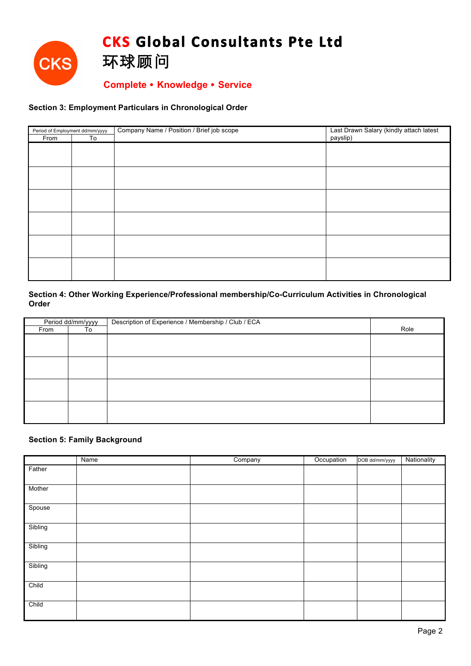

## **Complete** ! **Knowledge** ! **Service**

### **Section 3: Employment Particulars in Chronological Order**

| Period of Employment dd/mm/yyyy |    | Company Name / Position / Brief job scope | Last Drawn Salary (kindly attach latest |  |  |
|---------------------------------|----|-------------------------------------------|-----------------------------------------|--|--|
| From                            | To |                                           | payslip)                                |  |  |
|                                 |    |                                           |                                         |  |  |
|                                 |    |                                           |                                         |  |  |
|                                 |    |                                           |                                         |  |  |
|                                 |    |                                           |                                         |  |  |
|                                 |    |                                           |                                         |  |  |
|                                 |    |                                           |                                         |  |  |
|                                 |    |                                           |                                         |  |  |
|                                 |    |                                           |                                         |  |  |
|                                 |    |                                           |                                         |  |  |
|                                 |    |                                           |                                         |  |  |
|                                 |    |                                           |                                         |  |  |
|                                 |    |                                           |                                         |  |  |
|                                 |    |                                           |                                         |  |  |
|                                 |    |                                           |                                         |  |  |
|                                 |    |                                           |                                         |  |  |
|                                 |    |                                           |                                         |  |  |

## **Section 4: Other Working Experience/Professional membership/Co-Curriculum Activities in Chronological Order**

| Period dd/mm/yyyy |    | Description of Experience / Membership / Club / ECA |      |
|-------------------|----|-----------------------------------------------------|------|
| From              | To |                                                     | Role |
|                   |    |                                                     |      |
|                   |    |                                                     |      |
|                   |    |                                                     |      |
|                   |    |                                                     |      |
|                   |    |                                                     |      |
|                   |    |                                                     |      |
|                   |    |                                                     |      |
|                   |    |                                                     |      |
|                   |    |                                                     |      |
|                   |    |                                                     |      |
|                   |    |                                                     |      |

### **Section 5: Family Background**

|         | Name | Company | Occupation | DOB dd/mm/yyyy | Nationality |
|---------|------|---------|------------|----------------|-------------|
| Father  |      |         |            |                |             |
|         |      |         |            |                |             |
| Mother  |      |         |            |                |             |
| Spouse  |      |         |            |                |             |
| Sibling |      |         |            |                |             |
| Sibling |      |         |            |                |             |
| Sibling |      |         |            |                |             |
| Child   |      |         |            |                |             |
| Child   |      |         |            |                |             |